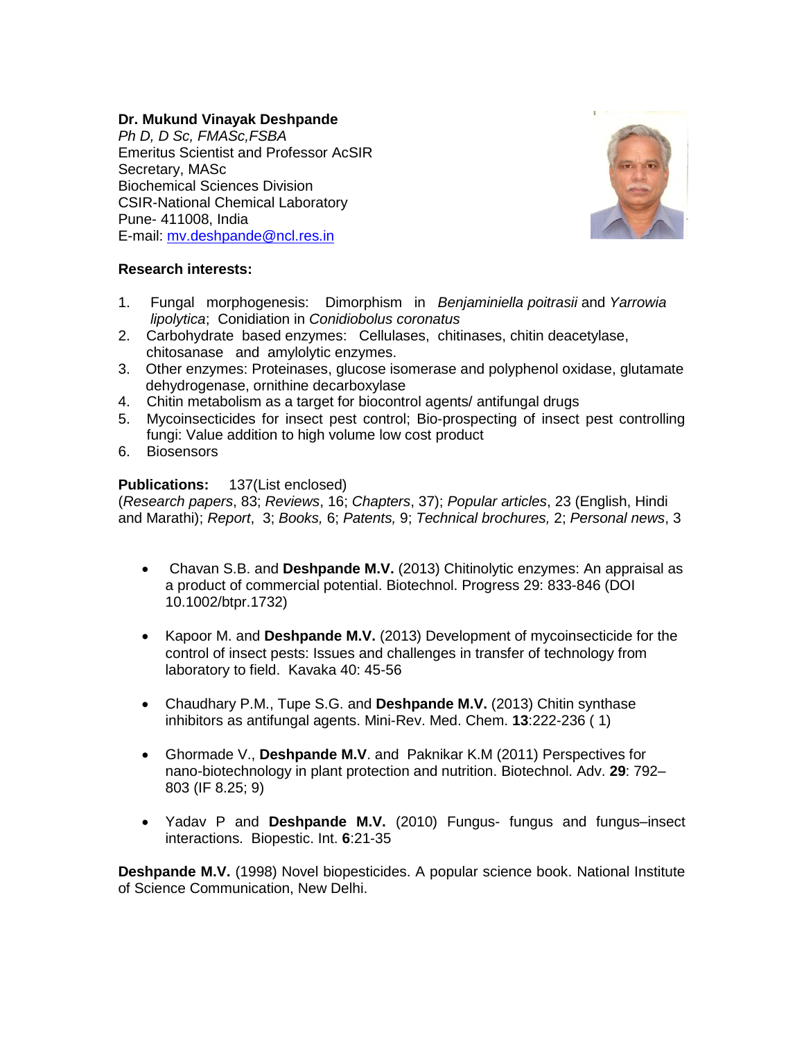## **Dr. Mukund Vinayak Deshpande**

*Ph D, D Sc, FMASc,FSBA* Emeritus Scientist and Professor AcSIR Secretary, MASc Biochemical Sciences Division CSIR-National Chemical Laboratory Pune- 411008, India E-mail: [mv.deshpande@ncl.res.in](mailto:mv.deshpande@ncl.res.in)



## **Research interests:**

- 1. Fungal morphogenesis: Dimorphism in *Benjaminiella poitrasii* and *Yarrowia lipolytica*; Conidiation in *Conidiobolus coronatus*
- 2. Carbohydrate based enzymes: Cellulases, chitinases, chitin deacetylase, chitosanase and amylolytic enzymes.
- 3. Other enzymes: Proteinases, glucose isomerase and polyphenol oxidase, glutamate dehydrogenase, ornithine decarboxylase
- 4. Chitin metabolism as a target for biocontrol agents/ antifungal drugs
- 5. Mycoinsecticides for insect pest control; Bio-prospecting of insect pest controlling fungi: Value addition to high volume low cost product
- 6. Biosensors

## **Publications:** 137(List enclosed)

(*Research papers*, 83; *Reviews*, 16; *Chapters*, 37); *Popular articles*, 23 (English, Hindi and Marathi); *Report*, 3; *Books,* 6; *Patents,* 9; *Technical brochures,* 2; *Personal news*, 3

- Chavan S.B. and **Deshpande M.V.** (2013) Chitinolytic enzymes: An appraisal as a product of commercial potential. Biotechnol. Progress 29: 833-846 (DOI 10.1002/btpr.1732)
- Kapoor M. and **Deshpande M.V.** (2013) Development of mycoinsecticide for the control of insect pests: Issues and challenges in transfer of technology from laboratory to field. Kavaka 40: 45-56
- Chaudhary P.M., Tupe S.G. and **Deshpande M.V.** (2013) Chitin synthase inhibitors as antifungal agents. Mini-Rev. Med. Chem. **13**:222-236 ( 1)
- Ghormade V., **Deshpande M.V**. and Paknikar K.M (2011) Perspectives for nano-biotechnology in plant protection and nutrition. Biotechnol. Adv. **29**: 792– 803 (IF 8.25; 9)
- Yadav P and **Deshpande M.V.** (2010) Fungus- fungus and fungus–insect interactions. Biopestic. Int. **6**:21-35

**Deshpande M.V.** (1998) Novel biopesticides. A popular science book. National Institute of Science Communication, New Delhi.